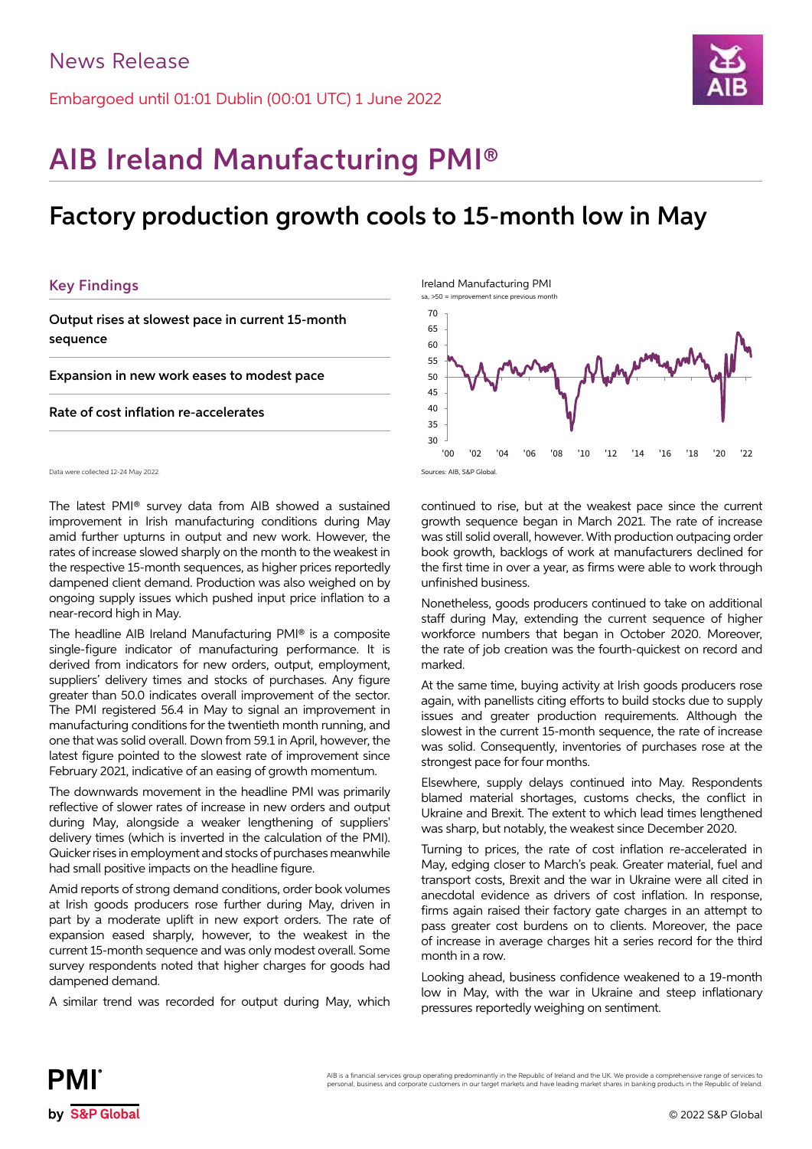Embargoed until 01:01 Dublin (00:01 UTC) 1 June 2022



# AIB Ireland Manufacturing PMI®

## Factory production growth cools to 15-month low in May

## Key Findings

Output rises at slowest pace in current 15-month sequence

Expansion in new work eases to modest pace

Rate of cost inflation re-accelerates

Data were collected 12-24 May 2022.

The latest PMI® survey data from AIB showed a sustained improvement in Irish manufacturing conditions during May amid further upturns in output and new work. However, the rates of increase slowed sharply on the month to the weakest in the respective 15-month sequences, as higher prices reportedly dampened client demand. Production was also weighed on by ongoing supply issues which pushed input price inflation to a near-record high in May.

The headline AIB Ireland Manufacturing PMI® is a composite single-figure indicator of manufacturing performance. It is derived from indicators for new orders, output, employment, suppliers' delivery times and stocks of purchases. Any figure greater than 50.0 indicates overall improvement of the sector. The PMI registered 56.4 in May to signal an improvement in manufacturing conditions for the twentieth month running, and one that was solid overall. Down from 59.1 in April, however, the latest figure pointed to the slowest rate of improvement since February 2021, indicative of an easing of growth momentum.

The downwards movement in the headline PMI was primarily reflective of slower rates of increase in new orders and output during May, alongside a weaker lengthening of suppliers' delivery times (which is inverted in the calculation of the PMI). Quicker rises in employment and stocks of purchases meanwhile had small positive impacts on the headline figure.

Amid reports of strong demand conditions, order book volumes at Irish goods producers rose further during May, driven in part by a moderate uplift in new export orders. The rate of expansion eased sharply, however, to the weakest in the current 15-month sequence and was only modest overall. Some survey respondents noted that higher charges for goods had dampened demand.

A similar trend was recorded for output during May, which

Ireland Manufacturing PMI



continued to rise, but at the weakest pace since the current growth sequence began in March 2021. The rate of increase was still solid overall, however. With production outpacing order book growth, backlogs of work at manufacturers declined for the first time in over a year, as firms were able to work through unfinished business.

Nonetheless, goods producers continued to take on additional staff during May, extending the current sequence of higher workforce numbers that began in October 2020. Moreover, the rate of job creation was the fourth-quickest on record and marked.

At the same time, buying activity at Irish goods producers rose again, with panellists citing efforts to build stocks due to supply issues and greater production requirements. Although the slowest in the current 15-month sequence, the rate of increase was solid. Consequently, inventories of purchases rose at the strongest pace for four months.

Elsewhere, supply delays continued into May. Respondents blamed material shortages, customs checks, the conflict in Ukraine and Brexit. The extent to which lead times lengthened was sharp, but notably, the weakest since December 2020.

Turning to prices, the rate of cost inflation re-accelerated in May, edging closer to March's peak. Greater material, fuel and transport costs, Brexit and the war in Ukraine were all cited in anecdotal evidence as drivers of cost inflation. In response, firms again raised their factory gate charges in an attempt to pass greater cost burdens on to clients. Moreover, the pace of increase in average charges hit a series record for the third month in a row.

Looking ahead, business confidence weakened to a 19-month low in May, with the war in Ukraine and steep inflationary pressures reportedly weighing on sentiment.